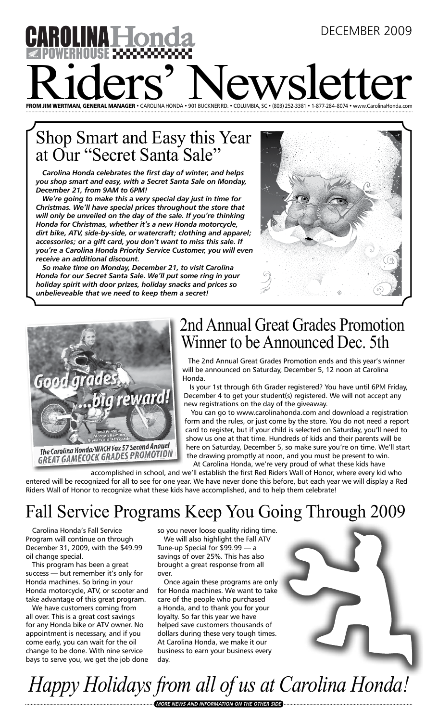# december 2009 NA HO Riders' New Countries and the WS Letter With a Computer Reserved And the Countries of the Countries Countries Control of the Control of the Control of the Control of the Countries Countries Countries Countries Countries Co FROM JIM WERTMAN, GENERAL MANAGER • CAROLINA HONDA • 901 BUCKNER RD. • COLUMBIA, SC • (803) 252-3381

#### Shop Smart and Easy this Year at Our "Secret Santa Sale"

*Carolina Honda celebrates the first day of winter, and helps you shop smart and easy, with a Secret Santa Sale on Monday, December 21, from 9AM to 6PM!*

*We're going to make this a very special day just in time for Christmas. We'll have special prices throughout the store that will only be unveiled on the day of the sale. If you're thinking Honda for Christmas, whether it's a new Honda motorcycle, dirt bike, ATV, side-by-side, or watercraft; clothing and apparel; accessories; or a gift card, you don't want to miss this sale. If you're a Carolina Honda Priority Service Customer, you will even receive an additional discount.*

*So make time on Monday, December 21, to visit Carolina Honda for our Secret Santa Sale. We'll put some ring in your holiday spirit with door prizes, holiday snacks and prices so unbelieveable that we need to keep them a secret!*





### 2nd Annual Great Grades Promotion Winner to be Announced Dec. 5th

The 2nd Annual Great Grades Promotion ends and this year's winner will be announced on Saturday, December 5, 12 noon at Carolina Honda.

Is your 1st through 6th Grader registered? You have until 6PM Friday, December 4 to get your student(s) registered. We will not accept any new registrations on the day of the giveaway.

You can go to www.carolinahonda.com and download a registration form and the rules, or just come by the store. You do not need a report card to register, but if your child is selected on Saturday, you'll need to show us one at that time. Hundreds of kids and their parents will be here on Saturday, December 5, so make sure you're on time. We'll start the drawing promptly at noon, and you must be present to win. At Carolina Honda, we're very proud of what these kids have

accomplished in school, and we'll establish the first Red Riders Wall of Honor, where every kid who entered will be recognized for all to see for one year. We have never done this before, but each year we will display a Red Riders Wall of Honor to recognize what these kids have accomplished, and to help them celebrate!

## Fall Service Programs Keep You Going Through 2009

Carolina Honda's Fall Service Program will continue on through December 31, 2009, with the \$49.99 oil change special.

This program has been a great success — but remember it's only for Honda machines. So bring in your Honda motorcycle, ATV, or scooter and take advantage of this great program.

We have customers coming from all over. This is a great cost savings for any Honda bike or ATV owner. No appointment is necessary, and if you come early, you can wait for the oil change to be done. With nine service bays to serve you, we get the job done so you never loose quality riding time.

We will also highlight the Fall ATV Tune-up Special for \$99.99 — a savings of over 25%. This has also brought a great response from all over.

Once again these programs are only for Honda machines. We want to take care of the people who purchased a Honda, and to thank you for your loyalty. So far this year we have helped save customers thousands of dollars during these very tough times. At Carolina Honda, we make it our business to earn your business every day.

*Happy Holidays from all of us at Carolina Honda!*

*more news and information on the other side*